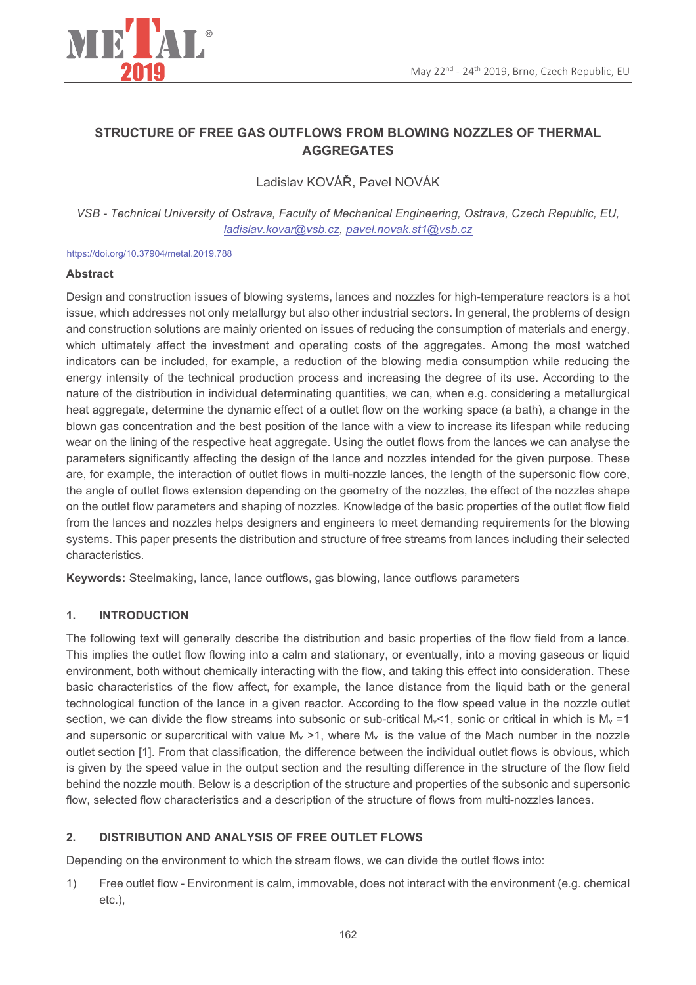

# STRUCTURE OF FREE GAS OUTFLOWS FROM BLOWING NOZZLES OF THERMAL **AGGREGATES**

Ladislav KOVÁŘ. Pavel NOVÁK

VSB - Technical University of Ostrava, Faculty of Mechanical Engineering, Ostrava, Czech Republic, EU, ladislav.kovar@vsb.cz.pavel.novak.st1@vsb.cz

https://doi.org/10.37904/metal.2019.788

## **Abstract**

Design and construction issues of blowing systems, lances and nozzles for high-temperature reactors is a hot issue, which addresses not only metallurgy but also other industrial sectors. In general, the problems of design and construction solutions are mainly oriented on issues of reducing the consumption of materials and energy, which ultimately affect the investment and operating costs of the aggregates. Among the most watched indicators can be included, for example, a reduction of the blowing media consumption while reducing the energy intensity of the technical production process and increasing the degree of its use. According to the nature of the distribution in individual determinating quantities, we can, when e.g. considering a metallurgical heat aggregate, determine the dynamic effect of a outlet flow on the working space (a bath), a change in the blown gas concentration and the best position of the lance with a view to increase its lifespan while reducing wear on the lining of the respective heat aggregate. Using the outlet flows from the lances we can analyse the parameters significantly affecting the design of the lance and nozzles intended for the given purpose. These are, for example, the interaction of outlet flows in multi-nozzle lances, the length of the supersonic flow core, the angle of outlet flows extension depending on the geometry of the nozzles, the effect of the nozzles shape on the outlet flow parameters and shaping of nozzles. Knowledge of the basic properties of the outlet flow field from the lances and nozzles helps designers and engineers to meet demanding requirements for the blowing systems. This paper presents the distribution and structure of free streams from lances including their selected characteristics.

Keywords: Steelmaking, lance, lance outflows, gas blowing, lance outflows parameters

#### $\overline{1}$ . **INTRODUCTION**

The following text will generally describe the distribution and basic properties of the flow field from a lance. This implies the outlet flow flowing into a calm and stationary, or eventually, into a moving gaseous or liquid environment, both without chemically interacting with the flow, and taking this effect into consideration. These basic characteristics of the flow affect, for example, the lance distance from the liquid bath or the general technological function of the lance in a given reactor. According to the flow speed value in the nozzle outlet section, we can divide the flow streams into subsonic or sub-critical  $M_v$ <1, sonic or critical in which is  $M_v$  =1 and supersonic or supercritical with value  $M_v > 1$ , where  $M_v$  is the value of the Mach number in the nozzle outlet section [1]. From that classification, the difference between the individual outlet flows is obvious, which is given by the speed value in the output section and the resulting difference in the structure of the flow field behind the nozzle mouth. Below is a description of the structure and properties of the subsonic and supersonic flow, selected flow characteristics and a description of the structure of flows from multi-nozzles lances.

#### $2.$ DISTRIBUTION AND ANALYSIS OF FREE OUTLET FLOWS

Depending on the environment to which the stream flows, we can divide the outlet flows into:

Free outlet flow - Environment is calm, immovable, does not interact with the environment (e.g. chemical  $1)$  $etc.$ ),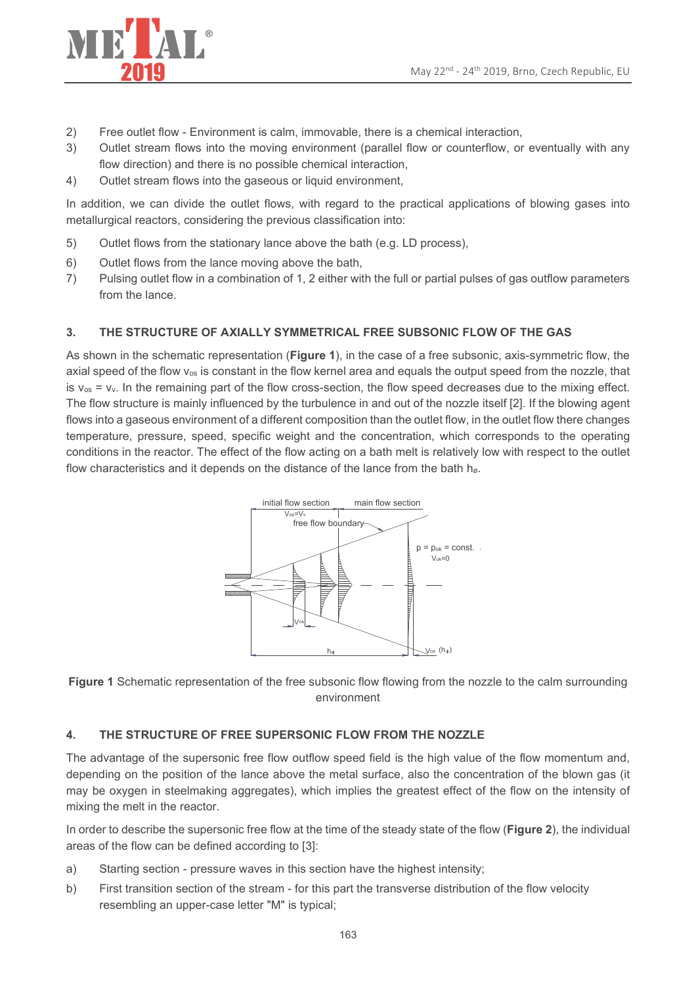

- Free outlet flow Environment is calm, immovable, there is a chemical interaction,  $2)$
- $3)$ Outlet stream flows into the moving environment (parallel flow or counterflow, or eventually with any flow direction) and there is no possible chemical interaction,
- $4)$ Outlet stream flows into the gaseous or liquid environment,

In addition, we can divide the outlet flows, with regard to the practical applications of blowing gases into metallurgical reactors, considering the previous classification into:

- Outlet flows from the stationary lance above the bath (e.g. LD process),  $5)$
- $6)$ Outlet flows from the lance moving above the bath,
- Pulsing outlet flow in a combination of 1, 2 either with the full or partial pulses of gas outflow parameters  $7)$ from the lance.

#### $\mathbf{R}$ THE STRUCTURE OF AXIALLY SYMMETRICAL FREE SUBSONIC FLOW OF THE GAS

As shown in the schematic representation (Figure 1), in the case of a free subsonic, axis-symmetric flow, the axial speed of the flow  $v_{os}$  is constant in the flow kernel area and equals the output speed from the nozzle, that is  $v_{\text{os}} = v_v$ . In the remaining part of the flow cross-section, the flow speed decreases due to the mixing effect. The flow structure is mainly influenced by the turbulence in and out of the nozzle itself [2]. If the blowing agent flows into a gaseous environment of a different composition than the outlet flow, in the outlet flow there changes temperature, pressure, speed, specific weight and the concentration, which corresponds to the operating conditions in the reactor. The effect of the flow acting on a bath melt is relatively low with respect to the outlet flow characteristics and it depends on the distance of the lance from the bath h<sub>0</sub>.



Figure 1 Schematic representation of the free subsonic flow flowing from the nozzle to the calm surrounding environment

#### THE STRUCTURE OF FREE SUPERSONIC FLOW FROM THE NOZZLE  $4.$

The advantage of the supersonic free flow outflow speed field is the high value of the flow momentum and, depending on the position of the lance above the metal surface, also the concentration of the blown gas (it may be oxygen in steelmaking aggregates), which implies the greatest effect of the flow on the intensity of mixing the melt in the reactor.

In order to describe the supersonic free flow at the time of the steady state of the flow (Figure 2), the individual areas of the flow can be defined according to [3]:

- a) Starting section - pressure waves in this section have the highest intensity;
- First transition section of the stream for this part the transverse distribution of the flow velocity  $b)$ resembling an upper-case letter "M" is typical;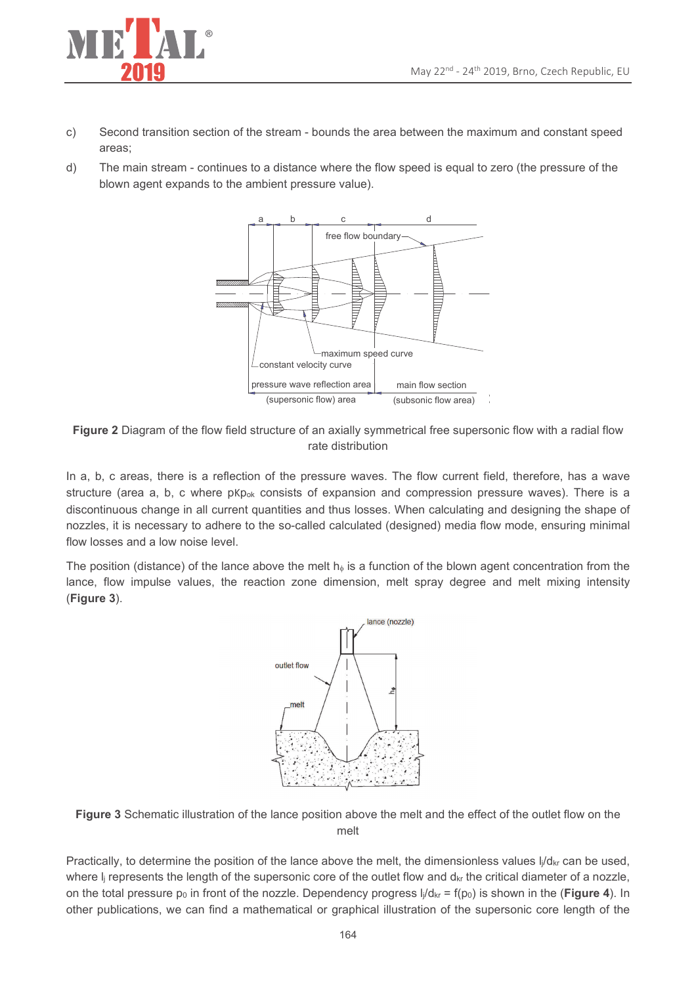

- Second transition section of the stream bounds the area between the maximum and constant speed  $C)$ areas:
- The main stream continues to a distance where the flow speed is equal to zero (the pressure of the  $d)$ blown agent expands to the ambient pressure value).



Figure 2 Diagram of the flow field structure of an axially symmetrical free supersonic flow with a radial flow rate distribution

In a, b, c areas, there is a reflection of the pressure waves. The flow current field, therefore, has a wave structure (area a, b, c where pKp<sub>ok</sub> consists of expansion and compression pressure waves). There is a discontinuous change in all current quantities and thus losses. When calculating and designing the shape of nozzles, it is necessary to adhere to the so-called calculated (designed) media flow mode, ensuring minimal flow losses and a low noise level.

The position (distance) of the lance above the melt  $h_{\phi}$  is a function of the blown agent concentration from the lance, flow impulse values, the reaction zone dimension, melt spray degree and melt mixing intensity (Figure 3).



Figure 3 Schematic illustration of the lance position above the melt and the effect of the outlet flow on the melt

Practically, to determine the position of the lance above the melt, the dimensionless values  $\frac{1}{4}d_{\text{kr}}$  can be used, where  $I_i$  represents the length of the supersonic core of the outlet flow and  $d_{kr}$  the critical diameter of a nozzle, on the total pressure  $p_0$  in front of the nozzle. Dependency progress  $I_i/d_{kr} = f(p_0)$  is shown in the (Figure 4). In other publications, we can find a mathematical or graphical illustration of the supersonic core length of the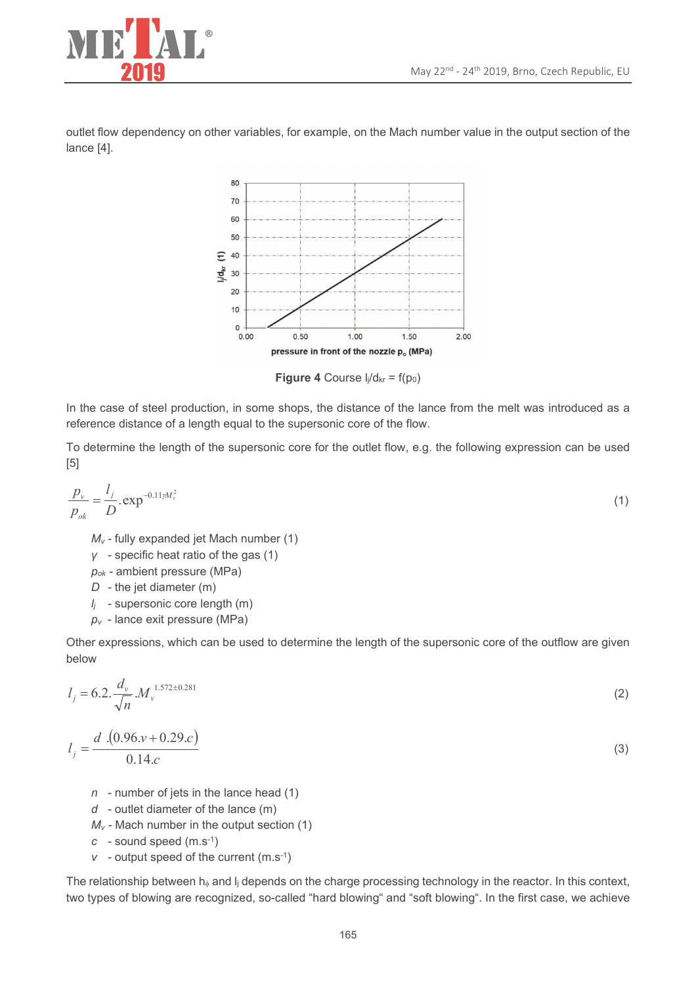$(3)$ 



outlet flow dependency on other variables, for example, on the Mach number value in the output section of the lance [4].



**Figure 4** Course  $I_i/d_{kr} = f(p_0)$ 

In the case of steel production, in some shops, the distance of the lance from the melt was introduced as a reference distance of a length equal to the supersonic core of the flow.

To determine the length of the supersonic core for the outlet flow, e.g. the following expression can be used  $[5]$ 

$$
\frac{p_v}{p_{ok}} = \frac{l_j}{D} . \exp^{-0.11/M_v^2}
$$
 (1)

 $M_v$  - fully expanded jet Mach number (1)

 $y -$  specific heat ratio of the gas (1)

 $p_{ok}$  - ambient pressure (MPa)

 $D -$  the jet diameter (m)

 $I_i$  - supersonic core length (m)

 $p_v$  - lance exit pressure (MPa)

Other expressions, which can be used to determine the length of the supersonic core of the outflow are given below

$$
l_j = 6.2 \cdot \frac{d_v}{\sqrt{n}} \cdot M_v^{1.572 \pm 0.281} \tag{2}
$$

$$
l_j = \frac{d (0.96 \cdot v + 0.29 \cdot c)}{0.14 \cdot c}
$$

- $n$  number of jets in the lance head (1)
- $d$  outlet diameter of the lance (m)
- $M_v$  Mach number in the output section (1)
- $c -$  sound speed  $(m.s^{-1})$
- $v \rightarrow$  output speed of the current (m.s<sup>-1</sup>)

The relationship between  $h_{\phi}$  and  $I_{i}$  depends on the charge processing technology in the reactor. In this context, two types of blowing are recognized, so-called "hard blowing" and "soft blowing". In the first case, we achieve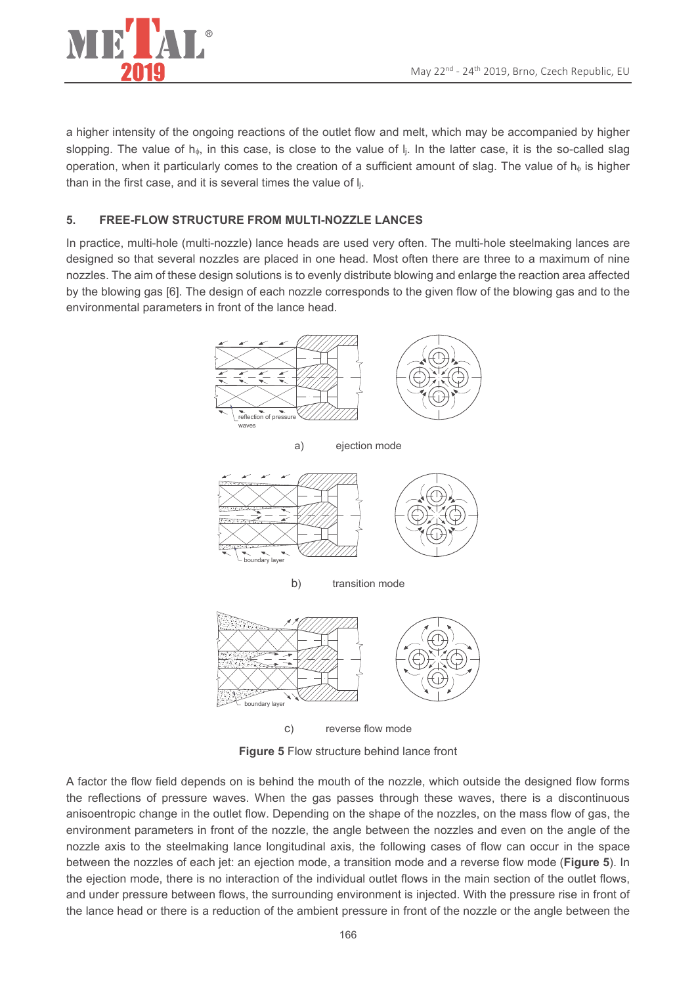

a higher intensity of the ongoing reactions of the outlet flow and melt, which may be accompanied by higher slopping. The value of  $h_{\phi}$ , in this case, is close to the value of  $\vert_i$ . In the latter case, it is the so-called slag operation, when it particularly comes to the creation of a sufficient amount of slag. The value of h<sub>®</sub> is higher than in the first case, and it is several times the value of li.

### $5<sub>1</sub>$ **FREE-FLOW STRUCTURE FROM MULTI-NOZZLE LANCES**

In practice, multi-hole (multi-nozzle) lance heads are used very often. The multi-hole steelmaking lances are designed so that several nozzles are placed in one head. Most often there are three to a maximum of nine nozzles. The aim of these design solutions is to evenly distribute blowing and enlarge the reaction area affected by the blowing gas [6]. The design of each nozzle corresponds to the given flow of the blowing gas and to the environmental parameters in front of the lance head.



Figure 5 Flow structure behind lance front

A factor the flow field depends on is behind the mouth of the nozzle, which outside the designed flow forms the reflections of pressure waves. When the gas passes through these waves, there is a discontinuous anisoentropic change in the outlet flow. Depending on the shape of the nozzles, on the mass flow of gas, the environment parameters in front of the nozzle, the angle between the nozzles and even on the angle of the nozzle axis to the steelmaking lance longitudinal axis, the following cases of flow can occur in the space between the nozzles of each jet: an ejection mode, a transition mode and a reverse flow mode (Figure 5). In the ejection mode, there is no interaction of the individual outlet flows in the main section of the outlet flows, and under pressure between flows, the surrounding environment is injected. With the pressure rise in front of the lance head or there is a reduction of the ambient pressure in front of the nozzle or the angle between the